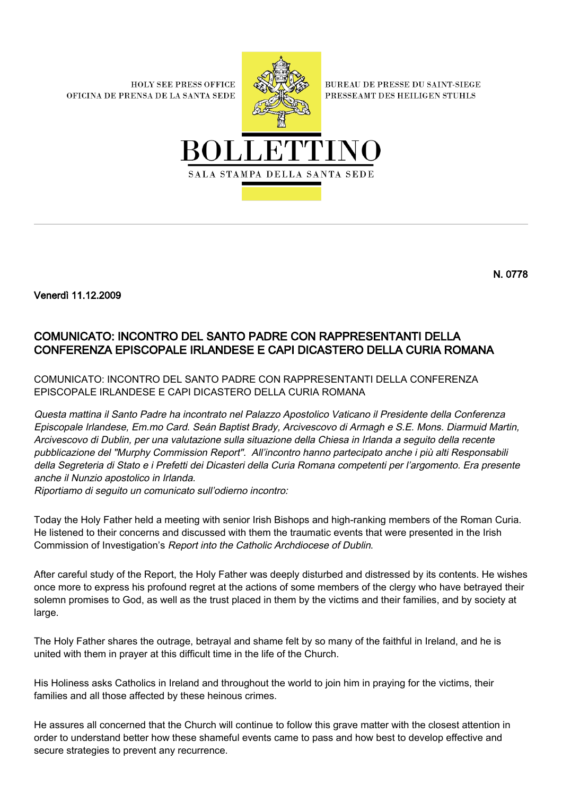**HOLY SEE PRESS OFFICE** OFICINA DE PRENSA DE LA SANTA SEDE



**BUREAU DE PRESSE DU SAINT-SIEGE** PRESSEAMT DES HEILIGEN STUHLS



Venerdì 11.12.2009

## COMUNICATO: INCONTRO DEL SANTO PADRE CON RAPPRESENTANTI DELLA CONFERENZA EPISCOPALE IRLANDESE E CAPI DICASTERO DELLA CURIA ROMANA

COMUNICATO: INCONTRO DEL SANTO PADRE CON RAPPRESENTANTI DELLA CONFERENZA EPISCOPALE IRLANDESE E CAPI DICASTERO DELLA CURIA ROMANA

Questa mattina il Santo Padre ha incontrato nel Palazzo Apostolico Vaticano il Presidente della Conferenza Episcopale Irlandese, Em.mo Card. Seán Baptist Brady, Arcivescovo di Armagh e S.E. Mons. Diarmuid Martin, Arcivescovo di Dublin, per una valutazione sulla situazione della Chiesa in Irlanda a seguito della recente pubblicazione del "Murphy Commission Report". All'incontro hanno partecipato anche i più alti Responsabili della Segreteria di Stato e i Prefetti dei Dicasteri della Curia Romana competenti per l'argomento. Era presente anche il Nunzio apostolico in Irlanda.

Riportiamo di seguito un comunicato sull'odierno incontro:

Today the Holy Father held a meeting with senior Irish Bishops and high-ranking members of the Roman Curia. He listened to their concerns and discussed with them the traumatic events that were presented in the Irish Commission of Investigation's Report into the Catholic Archdiocese of Dublin.

After careful study of the Report, the Holy Father was deeply disturbed and distressed by its contents. He wishes once more to express his profound regret at the actions of some members of the clergy who have betrayed their solemn promises to God, as well as the trust placed in them by the victims and their families, and by society at large.

The Holy Father shares the outrage, betrayal and shame felt by so many of the faithful in Ireland, and he is united with them in prayer at this difficult time in the life of the Church.

His Holiness asks Catholics in Ireland and throughout the world to join him in praying for the victims, their families and all those affected by these heinous crimes.

He assures all concerned that the Church will continue to follow this grave matter with the closest attention in order to understand better how these shameful events came to pass and how best to develop effective and secure strategies to prevent any recurrence.

N. 0778